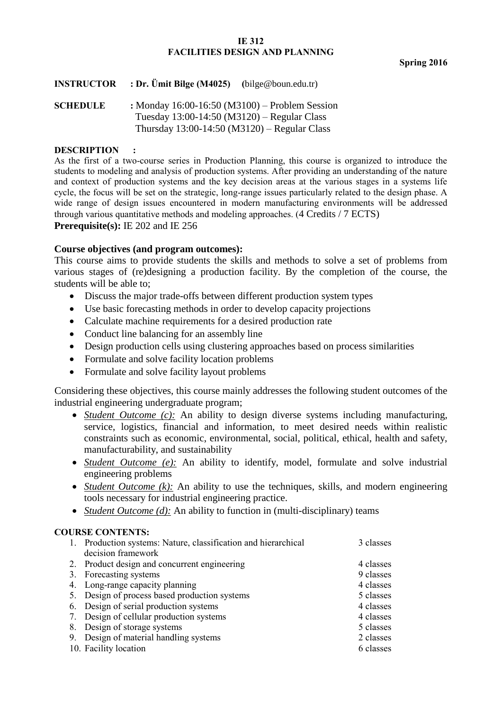### **IE 312 FACILITIES DESIGN AND PLANNING**

**Spring 2016**

| <b>INSTRUCTOR</b> | : Dr. Umit Bilge (M4025) | (bilge@boun.edu.tr) |
|-------------------|--------------------------|---------------------|
|                   |                          |                     |

**SCHEDULE :** Monday 16:00-16:50 (M3100) – Problem Session Tuesday 13:00-14:50 (M3120) – Regular Class Thursday 13:00-14:50 (M3120) – Regular Class

#### **DESCRIPTION :**

As the first of a two-course series in Production Planning, this course is organized to introduce the students to modeling and analysis of production systems. After providing an understanding of the nature and context of production systems and the key decision areas at the various stages in a systems life cycle, the focus will be set on the strategic, long-range issues particularly related to the design phase. A wide range of design issues encountered in modern manufacturing environments will be addressed through various quantitative methods and modeling approaches. (4 Credits / 7 ECTS) **Prerequisite(s):** IE 202 and IE 256

# **Course objectives (and program outcomes):**

This course aims to provide students the skills and methods to solve a set of problems from various stages of (re)designing a production facility. By the completion of the course, the students will be able to;

- Discuss the major trade-offs between different production system types
- Use basic forecasting methods in order to develop capacity projections
- Calculate machine requirements for a desired production rate
- Conduct line balancing for an assembly line
- Design production cells using clustering approaches based on process similarities
- Formulate and solve facility location problems
- Formulate and solve facility layout problems

Considering these objectives, this course mainly addresses the following student outcomes of the industrial engineering undergraduate program;

- *Student Outcome (c):* An ability to design diverse systems including manufacturing, service, logistics, financial and information, to meet desired needs within realistic constraints such as economic, environmental, social, political, ethical, health and safety, manufacturability, and sustainability
- *Student Outcome (e):* An ability to identify, model, formulate and solve industrial engineering problems
- *Student Outcome (k)*: An ability to use the techniques, skills, and modern engineering tools necessary for industrial engineering practice.
- *Student Outcome (d):* An ability to function in (multi-disciplinary) teams

# **COURSE CONTENTS:**

| 1. Production systems: Nature, classification and hierarchical | 3 classes |
|----------------------------------------------------------------|-----------|
| decision framework                                             |           |
| 2. Product design and concurrent engineering                   | 4 classes |
| 3. Forecasting systems                                         | 9 classes |
| 4. Long-range capacity planning                                | 4 classes |
| 5. Design of process based production systems                  | 5 classes |
| 6. Design of serial production systems                         | 4 classes |
| 7. Design of cellular production systems                       | 4 classes |
| 8. Design of storage systems                                   | 5 classes |
| 9. Design of material handling systems                         | 2 classes |
| 10. Facility location                                          | 6 classes |